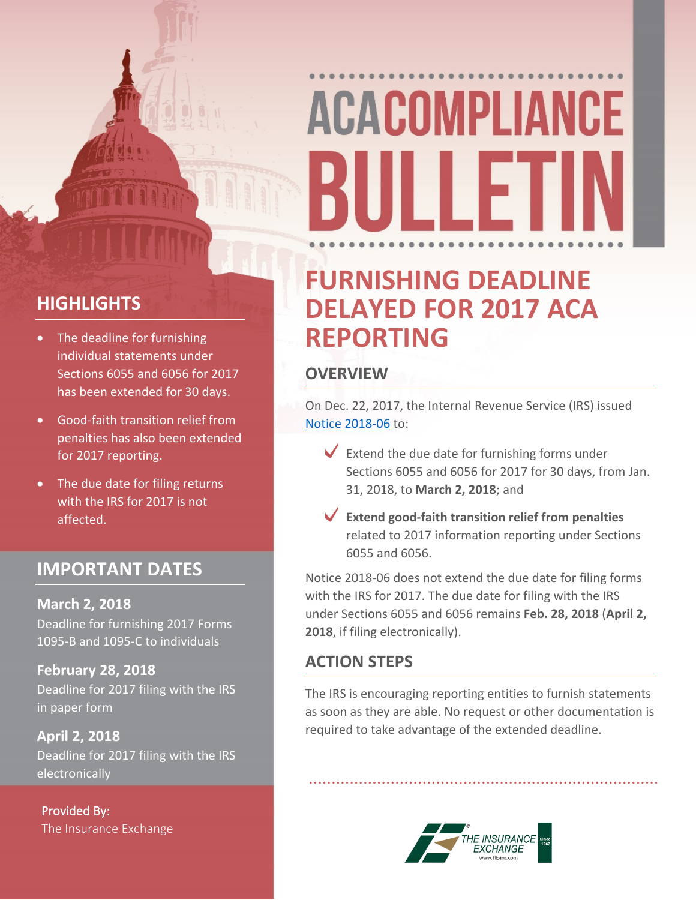# **ACACOMPLIANCE** 11 I F

#### **HIGHLIGHTS**

- The deadline for furnishing individual statements under Sections 6055 and 6056 for 2017 has been extended for 30 days.
- Good-faith transition relief from penalties has also been extended for 2017 reporting.
- The due date for filing returns with the IRS for 2017 is not affected.

#### **IMPORTANT DATES**

**March 2, 2018** Deadline for furnishing 2017 Forms 1095-B and 1095-C to individuals

**February 28, 2018** Deadline for 2017 filing with the IRS in paper form

**April 2, 2018** Deadline for 2017 filing with the IRS electronically

**Provided By:** The Insurance Exchange

### **FURNISHING DEADLINE DELAYED FOR 2017 ACA REPORTING**

#### **OVERVIEW**

On Dec. 22, 2017, the Internal Revenue Service (IRS) issued [Notice](https://www.irs.gov/pub/irs-drop/n-18-06.pdf) [2018-06](https://www.irs.gov/pub/irs-drop/n-18-06.pdf) to:

- $\blacktriangleright$  Extend the due date for furnishing forms under Sections 6055 and 6056 for 2017 for 30 days, from Jan. 31, 2018, to **March 2, 2018**; and
- **Extend good-faith transition relief from penalties** related to 2017 information reporting under Sections 6055 and 6056.

Notice 2018-06 does not extend the due date for filing forms with the IRS for 2017. The due date for filing with the IRS under Sections 6055 and 6056 remains **Feb. 28, 2018** (**April 2, 2018**, if filing electronically).

#### **ACTION STEPS**

The IRS is encouraging reporting entities to furnish statements as soon as they are able. No request or other documentation is required to take advantage of the extended deadline.

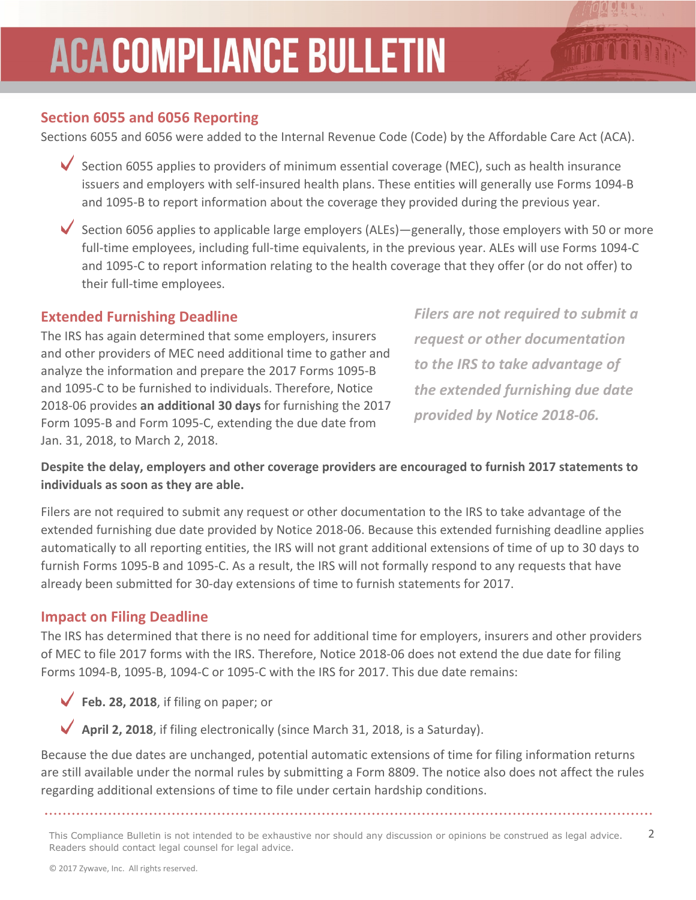### **ACACOMPLIANCE BULLETIN**

#### **Section 6055 and 6056 Reporting**

Sections 6055 and 6056 were added to the Internal Revenue Code (Code) by the Affordable Care Act (ACA).

- Section 6055 applies to providers of minimum essential coverage (MEC), such as health insurance issuers and employers with self-insured health plans. These entities will generally use Forms 1094-B and 1095-B to report information about the coverage they provided during the previous year.
- Section 6056 applies to applicable large employers (ALEs)—generally, those employers with 50 or more full-time employees, including full-time equivalents, in the previous year. ALEs will use Forms 1094-C and 1095-C to report information relating to the health coverage that they offer (or do not offer) to their full-time employees.

#### **Extended Furnishing Deadline**

The IRS has again determined that some employers, insurers and other providers of MEC need additional time to gather and analyze the information and prepare the 2017 Forms 1095-B and 1095-C to be furnished to individuals. Therefore, Notice 2018-06 provides **an additional 30 days** for furnishing the 2017 Form 1095-B and Form 1095-C, extending the due date from Jan. 31, 2018, to March 2, 2018.

*Filers are not required to submit a request or other documentation to the IRS to take advantage of the extended furnishing due date provided by Notice 2018-06.*

#### **Despite the delay, employers and other coverage providers are encouraged to furnish 2017 statements to individuals as soon as they are able.**

Filers are not required to submit any request or other documentation to the IRS to take advantage of the extended furnishing due date provided by Notice 2018-06. Because this extended furnishing deadline applies automatically to all reporting entities, the IRS will not grant additional extensions of time of up to 30 days to furnish Forms 1095-B and 1095-C. As a result, the IRS will not formally respond to any requests that have already been submitted for 30-day extensions of time to furnish statements for 2017.

#### **Impact on Filing Deadline**

The IRS has determined that there is no need for additional time for employers, insurers and other providers of MEC to file 2017 forms with the IRS. Therefore, Notice 2018-06 does not extend the due date for filing Forms 1094-B, 1095-B, 1094-C or 1095-C with the IRS for 2017. This due date remains:

**Feb. 28, 2018**, if filing on paper; or

**April 2, 2018**, if filing electronically (since March 31, 2018, is a Saturday).

Because the due dates are unchanged, potential automatic extensions of time for filing information returns are still available under the normal rules by submitting a Form 8809. The notice also does not affect the rules regarding additional extensions of time to file under certain hardship conditions.

This Compliance Bulletin is not intended to be exhaustive nor should any discussion or opinions be construed as legal advice. 2 Readers should contact legal counsel for legal advice.